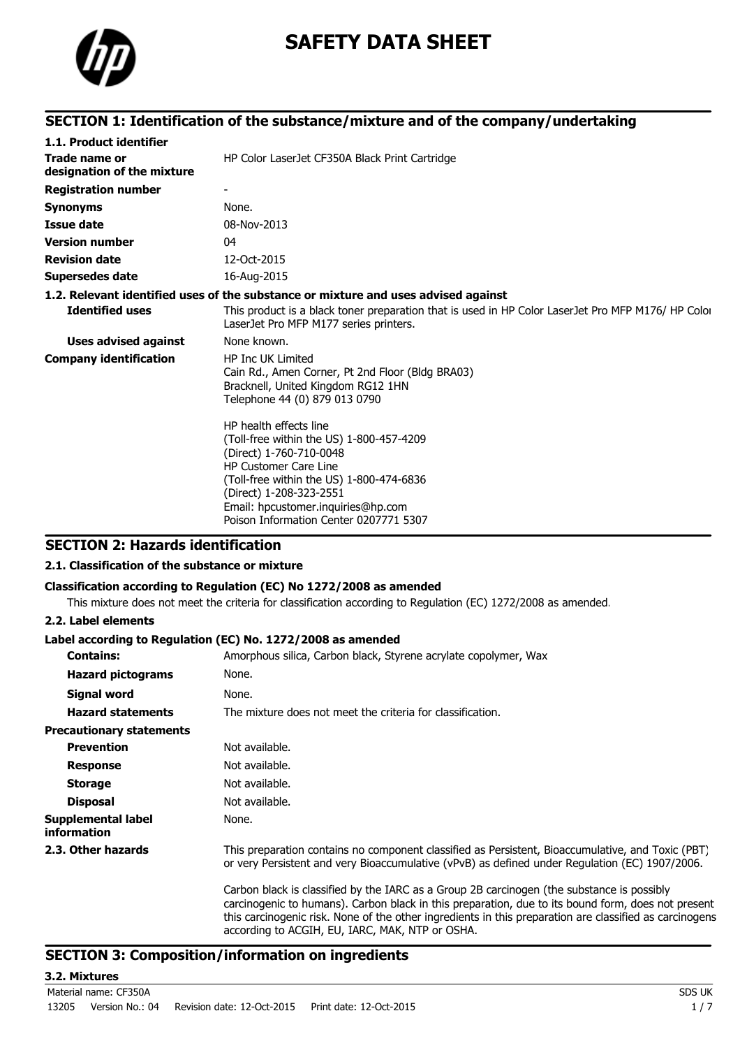

# **SAFETY DATA SHEET**

### **SECTION 1: Identification of the substance/mixture and of the company/undertaking**

| 1.1. Product identifier                     |                                                                                                                                                                                                                                                                                      |
|---------------------------------------------|--------------------------------------------------------------------------------------------------------------------------------------------------------------------------------------------------------------------------------------------------------------------------------------|
| Trade name or<br>designation of the mixture | HP Color LaserJet CF350A Black Print Cartridge                                                                                                                                                                                                                                       |
| <b>Registration number</b>                  |                                                                                                                                                                                                                                                                                      |
| <b>Synonyms</b>                             | None.                                                                                                                                                                                                                                                                                |
| <b>Issue date</b>                           | 08-Nov-2013                                                                                                                                                                                                                                                                          |
| <b>Version number</b>                       | 04                                                                                                                                                                                                                                                                                   |
| <b>Revision date</b>                        | 12-Oct-2015                                                                                                                                                                                                                                                                          |
| <b>Supersedes date</b>                      | 16-Aug-2015                                                                                                                                                                                                                                                                          |
|                                             | 1.2. Relevant identified uses of the substance or mixture and uses advised against                                                                                                                                                                                                   |
| <b>Identified uses</b>                      | This product is a black toner preparation that is used in HP Color LaserJet Pro MFP M176/ HP Color<br>LaserJet Pro MFP M177 series printers.                                                                                                                                         |
| <b>Uses advised against</b>                 | None known.                                                                                                                                                                                                                                                                          |
| <b>Company identification</b>               | <b>HP Inc UK Limited</b><br>Cain Rd., Amen Corner, Pt 2nd Floor (Bldg BRA03)<br>Bracknell, United Kingdom RG12 1HN<br>Telephone 44 (0) 879 013 0790                                                                                                                                  |
|                                             | HP health effects line<br>(Toll-free within the US) 1-800-457-4209<br>(Direct) 1-760-710-0048<br><b>HP Customer Care Line</b><br>(Toll-free within the US) 1-800-474-6836<br>(Direct) 1-208-323-2551<br>Email: hpcustomer.inquiries@hp.com<br>Poison Information Center 0207771 5307 |

### **SECTION 2: Hazards identification**

#### **2.1. Classification of the substance or mixture**

#### **Classification according to Regulation (EC) No 1272/2008 as amended**

This mixture does not meet the criteria for classification according to Regulation (EC) 1272/2008 as amended.

#### **2.2. Label elements**

#### **Label according to Regulation (EC) No. 1272/2008 as amended**

| <b>Contains:</b>                                | Amorphous silica, Carbon black, Styrene acrylate copolymer, Wax                                                                                                                                                                                                                                                                                                |
|-------------------------------------------------|----------------------------------------------------------------------------------------------------------------------------------------------------------------------------------------------------------------------------------------------------------------------------------------------------------------------------------------------------------------|
| <b>Hazard pictograms</b>                        | None.                                                                                                                                                                                                                                                                                                                                                          |
| Signal word                                     | None.                                                                                                                                                                                                                                                                                                                                                          |
| <b>Hazard statements</b>                        | The mixture does not meet the criteria for classification.                                                                                                                                                                                                                                                                                                     |
| <b>Precautionary statements</b>                 |                                                                                                                                                                                                                                                                                                                                                                |
| <b>Prevention</b>                               | Not available.                                                                                                                                                                                                                                                                                                                                                 |
| <b>Response</b>                                 | Not available.                                                                                                                                                                                                                                                                                                                                                 |
| <b>Storage</b>                                  | Not available.                                                                                                                                                                                                                                                                                                                                                 |
| <b>Disposal</b>                                 | Not available.                                                                                                                                                                                                                                                                                                                                                 |
| <b>Supplemental label</b><br><i>information</i> | None.                                                                                                                                                                                                                                                                                                                                                          |
| 2.3. Other hazards                              | This preparation contains no component classified as Persistent, Bioaccumulative, and Toxic (PBT)<br>or very Persistent and very Bioaccumulative (vPvB) as defined under Regulation (EC) 1907/2006.                                                                                                                                                            |
|                                                 | Carbon black is classified by the IARC as a Group 2B carcinogen (the substance is possibly<br>carcinogenic to humans). Carbon black in this preparation, due to its bound form, does not present<br>this carcinogenic risk. None of the other ingredients in this preparation are classified as carcinogens<br>according to ACGIH, EU, IARC, MAK, NTP or OSHA. |

### **SECTION 3: Composition/information on ingredients**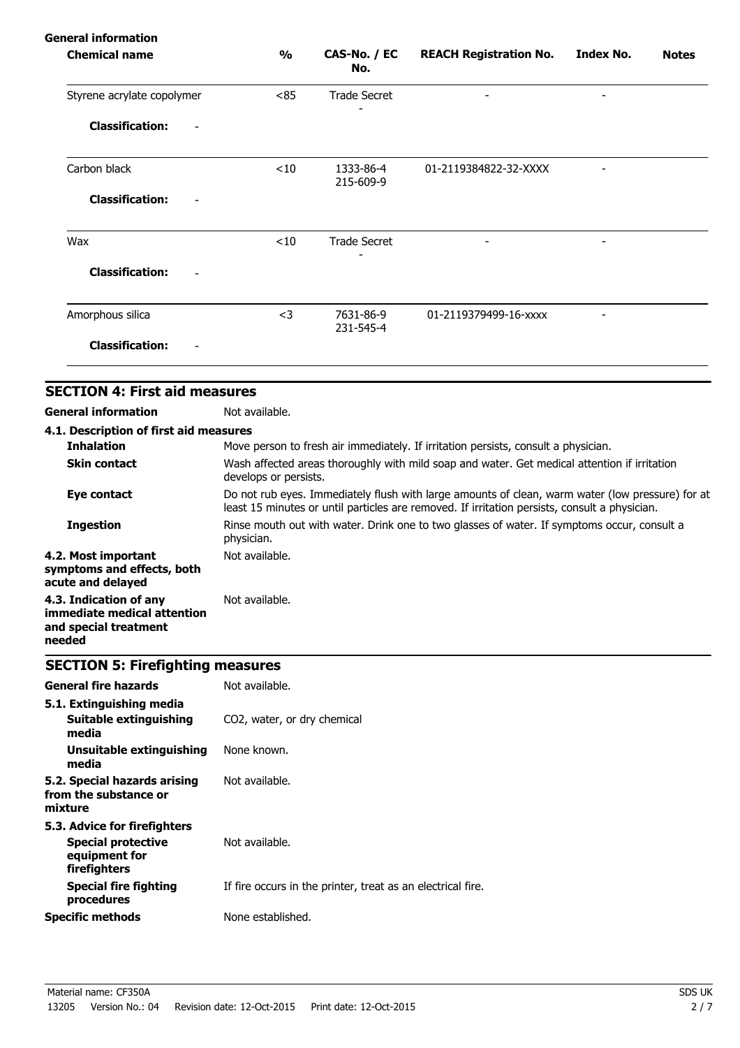### **General information**

| <b>Chemical name</b>                      | $\frac{1}{2}$ | CAS-No. / EC<br>No.    | <b>REACH Registration No.</b> | <b>Index No.</b>         | <b>Notes</b> |
|-------------------------------------------|---------------|------------------------|-------------------------------|--------------------------|--------------|
| Styrene acrylate copolymer                | <85           | <b>Trade Secret</b>    | $\overline{\phantom{a}}$      | $\overline{\phantom{a}}$ |              |
| <b>Classification:</b><br>$\qquad \qquad$ |               |                        |                               |                          |              |
| Carbon black                              | < 10          | 1333-86-4<br>215-609-9 | 01-2119384822-32-XXXX         |                          |              |
| <b>Classification:</b><br>-               |               |                        |                               |                          |              |
| Wax                                       | $<$ 10        | <b>Trade Secret</b>    | $\overline{a}$                |                          |              |
| <b>Classification:</b>                    |               |                        |                               |                          |              |
| Amorphous silica                          | $<$ 3         | 7631-86-9<br>231-545-4 | 01-2119379499-16-xxxx         |                          |              |
| <b>Classification:</b>                    |               |                        |                               |                          |              |

# **SECTION 4: First aid measures**

**General information** Not available.

| 4.1. Description of first aid measures                                                   |                                                                                                                                                                                                   |
|------------------------------------------------------------------------------------------|---------------------------------------------------------------------------------------------------------------------------------------------------------------------------------------------------|
| <b>Inhalation</b>                                                                        | Move person to fresh air immediately. If irritation persists, consult a physician.                                                                                                                |
| <b>Skin contact</b>                                                                      | Wash affected areas thoroughly with mild soap and water. Get medical attention if irritation<br>develops or persists.                                                                             |
| Eye contact                                                                              | Do not rub eyes. Immediately flush with large amounts of clean, warm water (low pressure) for at<br>least 15 minutes or until particles are removed. If irritation persists, consult a physician. |
| <b>Ingestion</b>                                                                         | Rinse mouth out with water. Drink one to two glasses of water. If symptoms occur, consult a<br>physician.                                                                                         |
| 4.2. Most important<br>symptoms and effects, both<br>acute and delayed                   | Not available.                                                                                                                                                                                    |
| 4.3. Indication of any<br>immediate medical attention<br>and special treatment<br>needed | Not available.                                                                                                                                                                                    |

# **SECTION 5: Firefighting measures**

| <b>General fire hazards</b>                                                                | Not available.                                              |
|--------------------------------------------------------------------------------------------|-------------------------------------------------------------|
| 5.1. Extinguishing media<br>Suitable extinguishing<br>media                                | CO2, water, or dry chemical                                 |
| Unsuitable extinguishing<br>media                                                          | None known.                                                 |
| 5.2. Special hazards arising<br>from the substance or<br>mixture                           | Not available.                                              |
| 5.3. Advice for firefighters<br><b>Special protective</b><br>equipment for<br>firefighters | Not available.                                              |
| <b>Special fire fighting</b><br>procedures                                                 | If fire occurs in the printer, treat as an electrical fire. |
| <b>Specific methods</b>                                                                    | None established.                                           |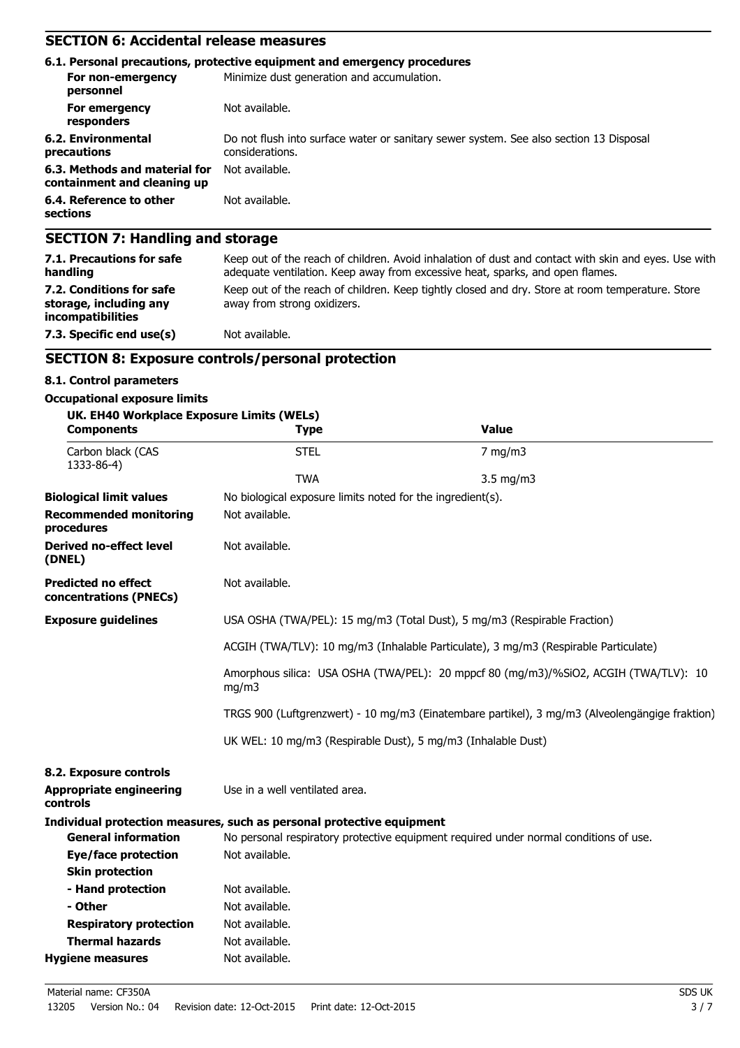## **SECTION 6: Accidental release measures**

|                                                              | 6.1. Personal precautions, protective equipment and emergency procedures                                  |
|--------------------------------------------------------------|-----------------------------------------------------------------------------------------------------------|
| For non-emergency<br>personnel                               | Minimize dust generation and accumulation.                                                                |
| For emergency<br>responders                                  | Not available.                                                                                            |
| 6.2. Environmental<br>precautions                            | Do not flush into surface water or sanitary sewer system. See also section 13 Disposal<br>considerations. |
| 6.3. Methods and material for<br>containment and cleaning up | Not available.                                                                                            |
| 6.4. Reference to other<br>sections                          | Not available.                                                                                            |
| <b>SECTION 7: Handling and storage</b>                       |                                                                                                           |

| <b>PLUITURY: Handhilly and Storage</b>                                                                                                                                                |  |  |  |
|---------------------------------------------------------------------------------------------------------------------------------------------------------------------------------------|--|--|--|
| Keep out of the reach of children. Avoid inhalation of dust and contact with skin and eyes. Use with<br>adequate ventilation. Keep away from excessive heat, sparks, and open flames. |  |  |  |
| Keep out of the reach of children. Keep tightly closed and dry. Store at room temperature. Store<br>away from strong oxidizers.                                                       |  |  |  |
| Not available.                                                                                                                                                                        |  |  |  |
|                                                                                                                                                                                       |  |  |  |

### **SECTION 8: Exposure controls/personal protection**

#### **8.1. Control parameters**

#### **Occupational exposure limits**

| UK. EH40 Workplace Exposure Limits (WELs)<br><b>Components</b> | <b>Type</b>                                                                                    | <b>Value</b>                                                                          |  |  |
|----------------------------------------------------------------|------------------------------------------------------------------------------------------------|---------------------------------------------------------------------------------------|--|--|
| Carbon black (CAS<br>1333-86-4)                                | <b>STEL</b>                                                                                    | $7$ mg/m $3$                                                                          |  |  |
|                                                                | <b>TWA</b>                                                                                     | $3.5$ mg/m $3$                                                                        |  |  |
| <b>Biological limit values</b>                                 | No biological exposure limits noted for the ingredient(s).                                     |                                                                                       |  |  |
| <b>Recommended monitoring</b><br>procedures                    | Not available.                                                                                 |                                                                                       |  |  |
| <b>Derived no-effect level</b><br>(DNEL)                       | Not available.                                                                                 |                                                                                       |  |  |
| <b>Predicted no effect</b><br>concentrations (PNECs)           | Not available.                                                                                 |                                                                                       |  |  |
| <b>Exposure guidelines</b>                                     | USA OSHA (TWA/PEL): 15 mg/m3 (Total Dust), 5 mg/m3 (Respirable Fraction)                       |                                                                                       |  |  |
|                                                                | ACGIH (TWA/TLV): 10 mg/m3 (Inhalable Particulate), 3 mg/m3 (Respirable Particulate)            |                                                                                       |  |  |
|                                                                | Amorphous silica: USA OSHA (TWA/PEL): 20 mppcf 80 (mg/m3)/%SiO2, ACGIH (TWA/TLV): 10<br>mg/m3  |                                                                                       |  |  |
|                                                                | TRGS 900 (Luftgrenzwert) - 10 mg/m3 (Einatembare partikel), 3 mg/m3 (Alveolengängige fraktion) |                                                                                       |  |  |
|                                                                | UK WEL: 10 mg/m3 (Respirable Dust), 5 mg/m3 (Inhalable Dust)                                   |                                                                                       |  |  |
| 8.2. Exposure controls                                         |                                                                                                |                                                                                       |  |  |
| <b>Appropriate engineering</b><br>controls                     | Use in a well ventilated area.                                                                 |                                                                                       |  |  |
|                                                                | Individual protection measures, such as personal protective equipment                          |                                                                                       |  |  |
| <b>General information</b>                                     |                                                                                                | No personal respiratory protective equipment required under normal conditions of use. |  |  |
| Eye/face protection                                            | Not available.                                                                                 |                                                                                       |  |  |
| <b>Skin protection</b>                                         |                                                                                                |                                                                                       |  |  |
| - Hand protection                                              | Not available.                                                                                 |                                                                                       |  |  |
| - Other                                                        | Not available.                                                                                 |                                                                                       |  |  |
| <b>Respiratory protection</b>                                  | Not available.                                                                                 |                                                                                       |  |  |
| <b>Thermal hazards</b>                                         | Not available.                                                                                 |                                                                                       |  |  |
| <b>Hygiene measures</b>                                        | Not available.                                                                                 |                                                                                       |  |  |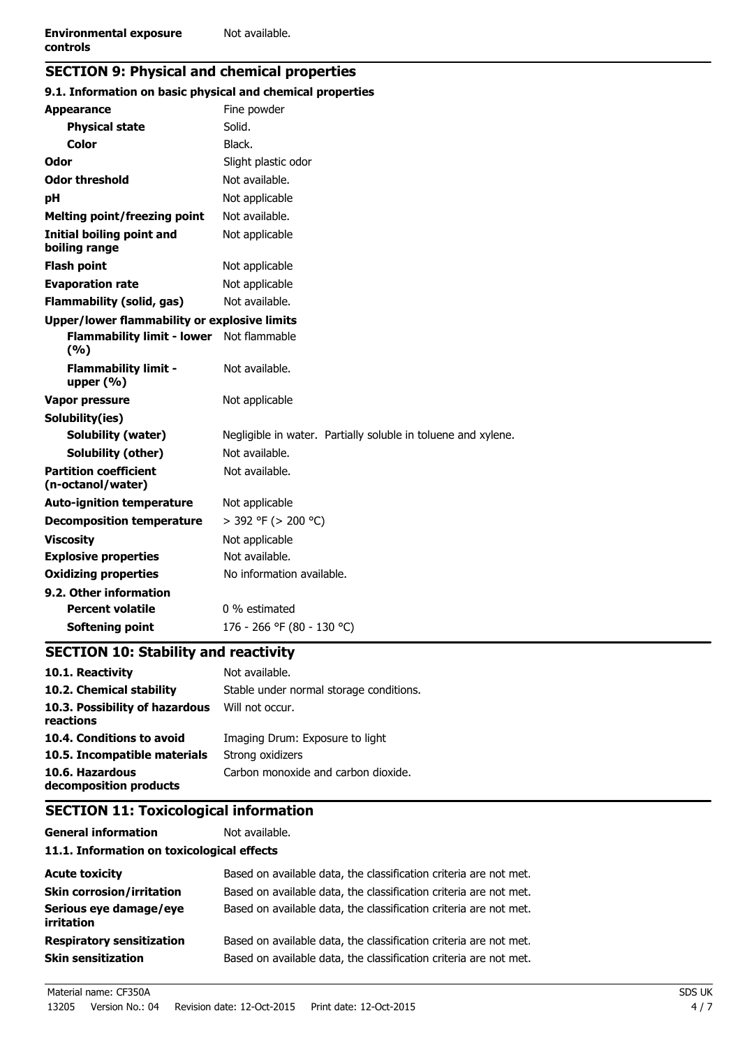# **SECTION 9: Physical and chemical properties**

| 9.1. Information on basic physical and chemical properties |                                                               |
|------------------------------------------------------------|---------------------------------------------------------------|
| <b>Appearance</b>                                          | Fine powder                                                   |
| <b>Physical state</b>                                      | Solid.                                                        |
| <b>Color</b>                                               | Black.                                                        |
| Odor                                                       | Slight plastic odor                                           |
| <b>Odor threshold</b>                                      | Not available.                                                |
| рH                                                         | Not applicable                                                |
| <b>Melting point/freezing point</b>                        | Not available.                                                |
| <b>Initial boiling point and</b><br>boiling range          | Not applicable                                                |
| <b>Flash point</b>                                         | Not applicable                                                |
| <b>Evaporation rate</b>                                    | Not applicable                                                |
| <b>Flammability (solid, gas)</b>                           | Not available.                                                |
| Upper/lower flammability or explosive limits               |                                                               |
| <b>Flammability limit - lower</b><br>(%)                   | Not flammable                                                 |
| <b>Flammability limit -</b><br>upper $(% )$                | Not available.                                                |
| Vapor pressure                                             | Not applicable                                                |
| Solubility(ies)                                            |                                                               |
| Solubility (water)                                         | Negligible in water. Partially soluble in toluene and xylene. |
| Solubility (other)                                         | Not available.                                                |
| <b>Partition coefficient</b><br>(n-octanol/water)          | Not available.                                                |
| <b>Auto-ignition temperature</b>                           | Not applicable                                                |
| <b>Decomposition temperature</b>                           | > 392 °F (> 200 °C)                                           |
| <b>Viscosity</b>                                           | Not applicable                                                |
| <b>Explosive properties</b>                                | Not available.                                                |
| <b>Oxidizing properties</b>                                | No information available.                                     |
| 9.2. Other information                                     |                                                               |
| <b>Percent volatile</b>                                    | 0 % estimated                                                 |
| Softening point                                            | 176 - 266 °F (80 - 130 °C)                                    |

# **SECTION 10: Stability and reactivity**

| 10.1. Reactivity                            | Not available.                          |
|---------------------------------------------|-----------------------------------------|
| 10.2. Chemical stability                    | Stable under normal storage conditions. |
| 10.3. Possibility of hazardous<br>reactions | Will not occur.                         |
| 10.4. Conditions to avoid                   | Imaging Drum: Exposure to light         |
| 10.5. Incompatible materials                | Strong oxidizers                        |
| 10.6. Hazardous<br>decomposition products   | Carbon monoxide and carbon dioxide.     |

# **SECTION 11: Toxicological information**

| <b>General information</b>    |  |  |  |
|-------------------------------|--|--|--|
| 11.1. Information on toxicolo |  |  |  |

### **19.10** Infects

| <b>Acute toxicity</b>                                         | Based on available data, the classification criteria are not met.                                                                      |
|---------------------------------------------------------------|----------------------------------------------------------------------------------------------------------------------------------------|
| <b>Skin corrosion/irritation</b>                              | Based on available data, the classification criteria are not met.                                                                      |
| Serious eye damage/eye<br><i>irritation</i>                   | Based on available data, the classification criteria are not met.                                                                      |
| <b>Respiratory sensitization</b><br><b>Skin sensitization</b> | Based on available data, the classification criteria are not met.<br>Based on available data, the classification criteria are not met. |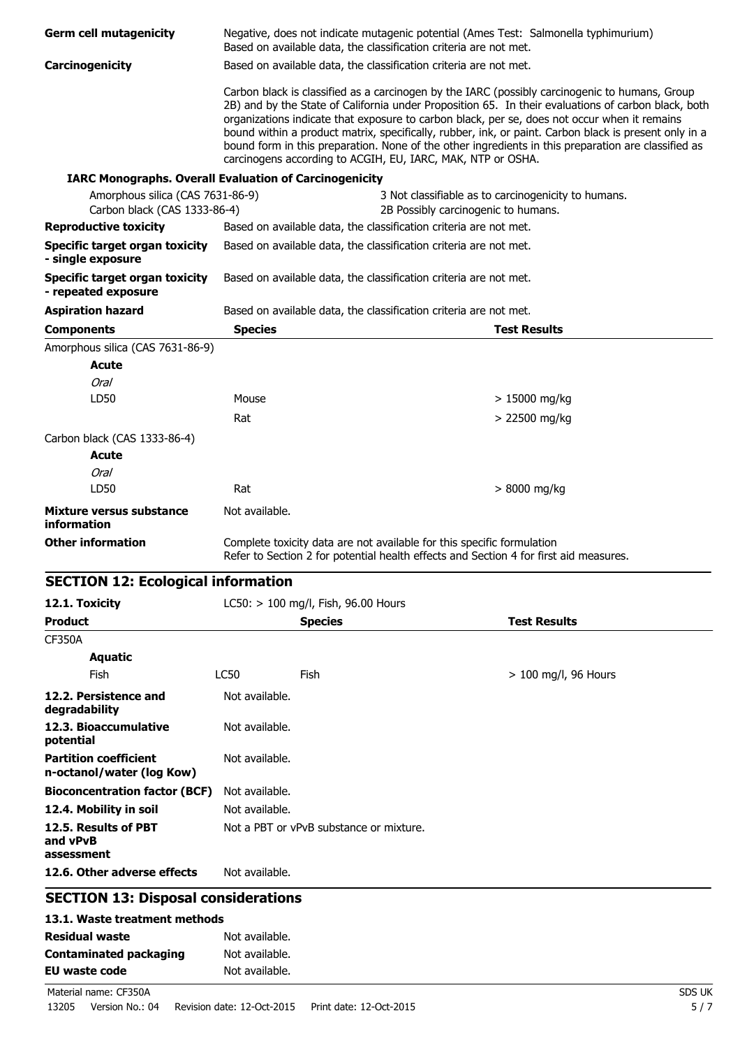| <b>Germ cell mutagenicity</b>                                    |                                  | Based on available data, the classification criteria are not met.      | Negative, does not indicate mutagenic potential (Ames Test: Salmonella typhimurium)                                                                                                                                                                                                                                                                                                                                                                                                                                   |
|------------------------------------------------------------------|----------------------------------|------------------------------------------------------------------------|-----------------------------------------------------------------------------------------------------------------------------------------------------------------------------------------------------------------------------------------------------------------------------------------------------------------------------------------------------------------------------------------------------------------------------------------------------------------------------------------------------------------------|
| Carcinogenicity                                                  |                                  | Based on available data, the classification criteria are not met.      |                                                                                                                                                                                                                                                                                                                                                                                                                                                                                                                       |
|                                                                  |                                  | carcinogens according to ACGIH, EU, IARC, MAK, NTP or OSHA.            | Carbon black is classified as a carcinogen by the IARC (possibly carcinogenic to humans, Group<br>2B) and by the State of California under Proposition 65. In their evaluations of carbon black, both<br>organizations indicate that exposure to carbon black, per se, does not occur when it remains<br>bound within a product matrix, specifically, rubber, ink, or paint. Carbon black is present only in a<br>bound form in this preparation. None of the other ingredients in this preparation are classified as |
| <b>IARC Monographs. Overall Evaluation of Carcinogenicity</b>    |                                  |                                                                        |                                                                                                                                                                                                                                                                                                                                                                                                                                                                                                                       |
| Amorphous silica (CAS 7631-86-9)<br>Carbon black (CAS 1333-86-4) |                                  |                                                                        | 3 Not classifiable as to carcinogenicity to humans.<br>2B Possibly carcinogenic to humans.                                                                                                                                                                                                                                                                                                                                                                                                                            |
| <b>Reproductive toxicity</b>                                     |                                  | Based on available data, the classification criteria are not met.      |                                                                                                                                                                                                                                                                                                                                                                                                                                                                                                                       |
| <b>Specific target organ toxicity</b><br>- single exposure       |                                  | Based on available data, the classification criteria are not met.      |                                                                                                                                                                                                                                                                                                                                                                                                                                                                                                                       |
| <b>Specific target organ toxicity</b><br>- repeated exposure     |                                  | Based on available data, the classification criteria are not met.      |                                                                                                                                                                                                                                                                                                                                                                                                                                                                                                                       |
| <b>Aspiration hazard</b>                                         |                                  | Based on available data, the classification criteria are not met.      |                                                                                                                                                                                                                                                                                                                                                                                                                                                                                                                       |
| <b>Components</b>                                                | <b>Species</b>                   |                                                                        | <b>Test Results</b>                                                                                                                                                                                                                                                                                                                                                                                                                                                                                                   |
| Amorphous silica (CAS 7631-86-9)                                 |                                  |                                                                        |                                                                                                                                                                                                                                                                                                                                                                                                                                                                                                                       |
| Acute                                                            |                                  |                                                                        |                                                                                                                                                                                                                                                                                                                                                                                                                                                                                                                       |
| <b>Oral</b>                                                      |                                  |                                                                        |                                                                                                                                                                                                                                                                                                                                                                                                                                                                                                                       |
| LD50                                                             | Mouse                            |                                                                        | $> 15000$ mg/kg                                                                                                                                                                                                                                                                                                                                                                                                                                                                                                       |
|                                                                  | Rat                              |                                                                        | > 22500 mg/kg                                                                                                                                                                                                                                                                                                                                                                                                                                                                                                         |
| Carbon black (CAS 1333-86-4)                                     |                                  |                                                                        |                                                                                                                                                                                                                                                                                                                                                                                                                                                                                                                       |
| Acute                                                            |                                  |                                                                        |                                                                                                                                                                                                                                                                                                                                                                                                                                                                                                                       |
| <b>Oral</b>                                                      |                                  |                                                                        |                                                                                                                                                                                                                                                                                                                                                                                                                                                                                                                       |
| LD50                                                             | Rat                              |                                                                        | > 8000 mg/kg                                                                                                                                                                                                                                                                                                                                                                                                                                                                                                          |
|                                                                  |                                  |                                                                        |                                                                                                                                                                                                                                                                                                                                                                                                                                                                                                                       |
| Mixture versus substance<br>information                          | Not available.                   |                                                                        |                                                                                                                                                                                                                                                                                                                                                                                                                                                                                                                       |
| <b>Other information</b>                                         |                                  | Complete toxicity data are not available for this specific formulation | Refer to Section 2 for potential health effects and Section 4 for first aid measures.                                                                                                                                                                                                                                                                                                                                                                                                                                 |
| <b>SECTION 12: Ecological information</b>                        |                                  |                                                                        |                                                                                                                                                                                                                                                                                                                                                                                                                                                                                                                       |
| 12.1. Toxicity                                                   |                                  | LC50: > 100 mg/l, Fish, 96.00 Hours                                    |                                                                                                                                                                                                                                                                                                                                                                                                                                                                                                                       |
| <b>Product</b>                                                   |                                  | <b>Species</b>                                                         | <b>Test Results</b>                                                                                                                                                                                                                                                                                                                                                                                                                                                                                                   |
| <b>CF350A</b>                                                    |                                  |                                                                        |                                                                                                                                                                                                                                                                                                                                                                                                                                                                                                                       |
| <b>Aquatic</b>                                                   |                                  |                                                                        |                                                                                                                                                                                                                                                                                                                                                                                                                                                                                                                       |
| Fish                                                             | <b>LC50</b>                      | Fish                                                                   | $> 100$ mg/l, 96 Hours                                                                                                                                                                                                                                                                                                                                                                                                                                                                                                |
|                                                                  |                                  |                                                                        |                                                                                                                                                                                                                                                                                                                                                                                                                                                                                                                       |
| 12.2. Persistence and<br>degradability                           | Not available.                   |                                                                        |                                                                                                                                                                                                                                                                                                                                                                                                                                                                                                                       |
| 12.3. Bioaccumulative<br>potential                               | Not available.                   |                                                                        |                                                                                                                                                                                                                                                                                                                                                                                                                                                                                                                       |
| <b>Partition coefficient</b><br>n-octanol/water (log Kow)        | Not available.                   |                                                                        |                                                                                                                                                                                                                                                                                                                                                                                                                                                                                                                       |
| <b>Bioconcentration factor (BCF)</b>                             | Not available.                   |                                                                        |                                                                                                                                                                                                                                                                                                                                                                                                                                                                                                                       |
| 12.4. Mobility in soil                                           | Not available.                   |                                                                        |                                                                                                                                                                                                                                                                                                                                                                                                                                                                                                                       |
| 12.5. Results of PBT<br>and vPvB<br>assessment                   |                                  | Not a PBT or yPvB substance or mixture.                                |                                                                                                                                                                                                                                                                                                                                                                                                                                                                                                                       |
| 12.6. Other adverse effects                                      | Not available.                   |                                                                        |                                                                                                                                                                                                                                                                                                                                                                                                                                                                                                                       |
| <b>SECTION 13: Disposal considerations</b>                       |                                  |                                                                        |                                                                                                                                                                                                                                                                                                                                                                                                                                                                                                                       |
|                                                                  |                                  |                                                                        |                                                                                                                                                                                                                                                                                                                                                                                                                                                                                                                       |
| 13.1. Waste treatment methods                                    |                                  |                                                                        |                                                                                                                                                                                                                                                                                                                                                                                                                                                                                                                       |
| <b>Residual waste</b>                                            | Not available.                   |                                                                        |                                                                                                                                                                                                                                                                                                                                                                                                                                                                                                                       |
| <b>Contaminated packaging</b><br><b>EU waste code</b>            | Not available.<br>Not available. |                                                                        |                                                                                                                                                                                                                                                                                                                                                                                                                                                                                                                       |
|                                                                  |                                  |                                                                        |                                                                                                                                                                                                                                                                                                                                                                                                                                                                                                                       |

Material name: CF350A SDS UK 13205 Version No.: 04 Revision date: 12-Oct-2015 Print date: 12-Oct-2015 5 / 7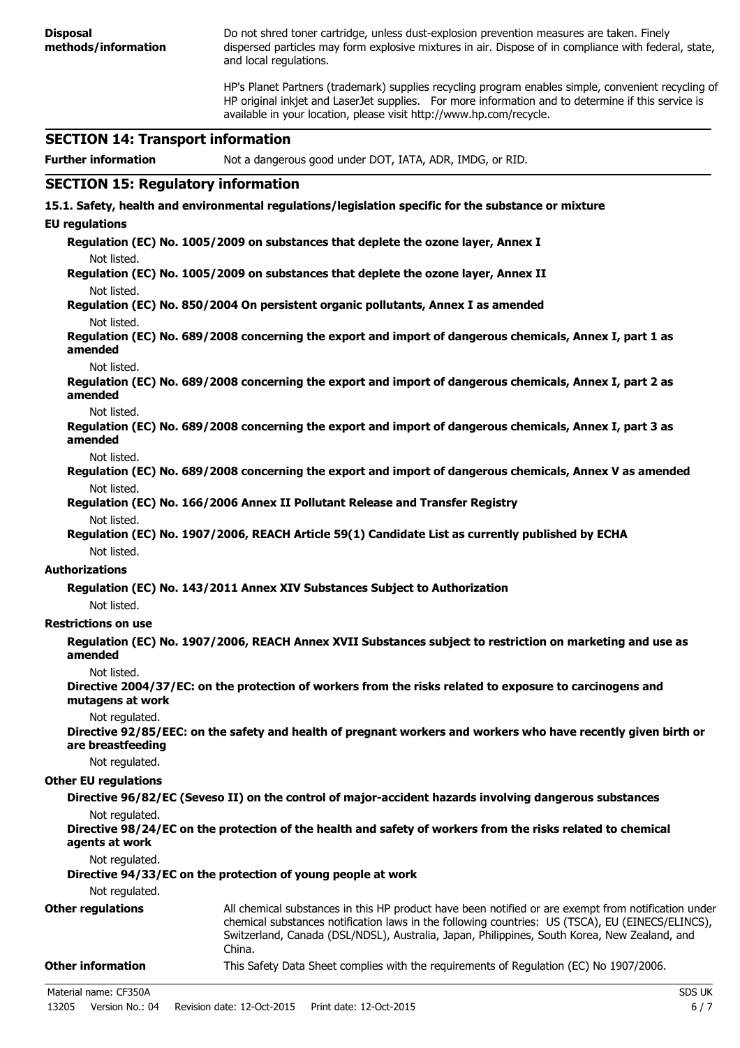**Disposal methods/information** Do not shred toner cartridge, unless dust-explosion prevention measures are taken. Finely dispersed particles may form explosive mixtures in air. Dispose of in compliance with federal, state, and local regulations. HP's Planet Partners (trademark) supplies recycling program enables simple, convenient recycling of HP original inkjet and LaserJet supplies. For more information and to determine if this service is available in your location, please visit http://www.hp.com/recycle. **SECTION 14: Transport information Further information** Not a dangerous good under DOT, IATA, ADR, IMDG, or RID. **SECTION 15: Regulatory information 15.1. Safety, health and environmental regulations/legislation specific for the substance or mixture EU regulations Regulation (EC) No. 1005/2009 on substances that deplete the ozone layer, Annex I** Not listed. **Regulation (EC) No. 1005/2009 on substances that deplete the ozone layer, Annex II** Not listed. **Regulation (EC) No. 850/2004 On persistent organic pollutants, Annex I as amended** Not listed. **Regulation (EC) No. 689/2008 concerning the export and import of dangerous chemicals, Annex I, part 1 as amended** Not listed. **Regulation (EC) No. 689/2008 concerning the export and import of dangerous chemicals, Annex I, part 2 as amended** Not listed. **Regulation (EC) No. 689/2008 concerning the export and import of dangerous chemicals, Annex I, part 3 as amended** Not listed. **Regulation (EC) No. 689/2008 concerning the export and import of dangerous chemicals, Annex V as amended** Not listed. **Regulation (EC) No. 166/2006 Annex II Pollutant Release and Transfer Registry** Not listed. **Regulation (EC) No. 1907/2006, REACH Article 59(1) Candidate List as currently published by ECHA** Not listed. **Authorizations Regulation (EC) No. 143/2011 Annex XIV Substances Subject to Authorization** Not listed. **Restrictions on use Regulation (EC) No. 1907/2006, REACH Annex XVII Substances subject to restriction on marketing and use as amended** Not listed. **Directive 2004/37/EC: on the protection of workers from the risks related to exposure to carcinogens and mutagens at work** Not regulated. **Directive 92/85/EEC: on the safety and health of pregnant workers and workers who have recently given birth or are breastfeeding** Not regulated. **Other EU regulations Directive 96/82/EC (Seveso II) on the control of major-accident hazards involving dangerous substances** Not regulated. **Directive 98/24/EC on the protection of the health and safety of workers from the risks related to chemical agents at work** Not regulated. **Directive 94/33/EC on the protection of young people at work** Not regulated. **Other regulations** All chemical substances in this HP product have been notified or are exempt from notification under chemical substances notification laws in the following countries: US (TSCA), EU (EINECS/ELINCS), Switzerland, Canada (DSL/NDSL), Australia, Japan, Philippines, South Korea, New Zealand, and China. **Other information** This Safety Data Sheet complies with the requirements of Regulation (EC) No 1907/2006. Material name: CF350A SDS UK